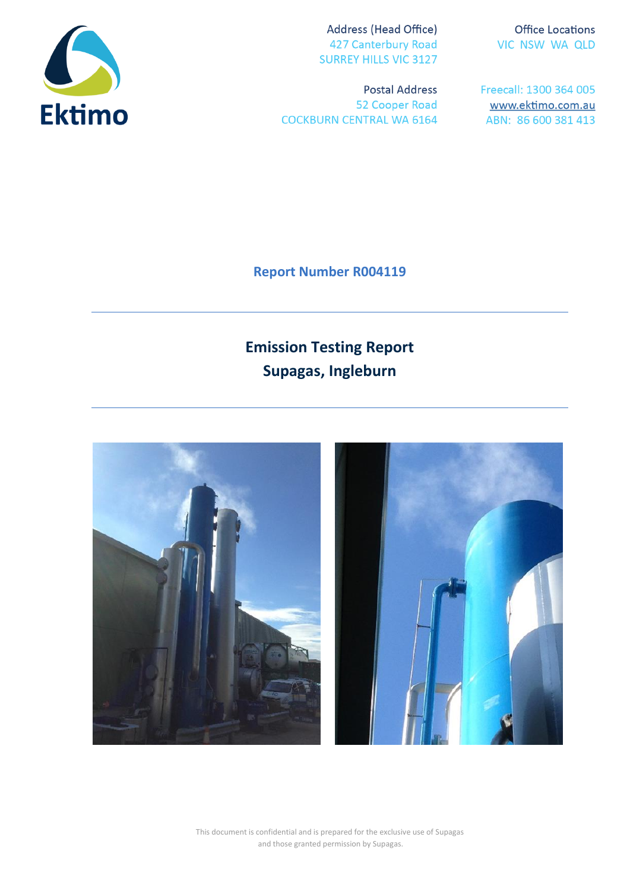

Address (Head Office) 427 Canterbury Road **SURREY HILLS VIC 3127** 

**Postal Address** 52 Cooper Road **COCKBURN CENTRAL WA 6164** 

**Office Locations** VIC NSW WA QLD

Freecall: 1300 364 005 www.ektimo.com.au ABN: 86 600 381 413

**Report Number R004119**

# **Emission Testing Report Supagas, Ingleburn**



This document is confidential and is prepared for the exclusive use of Supagas and those granted permission by Supagas.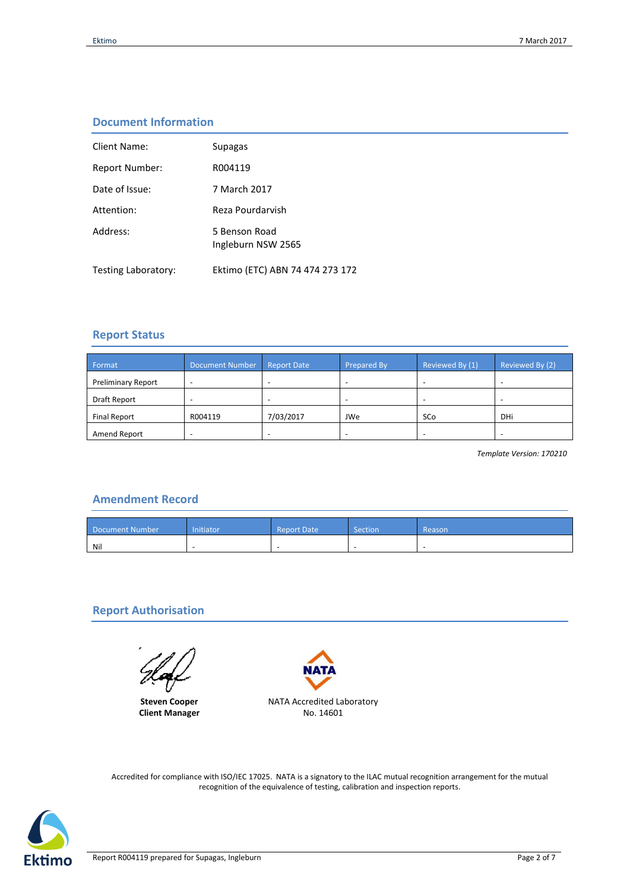# **Document Information**

| Client Name:               | Supagas                             |
|----------------------------|-------------------------------------|
| Report Number:             | R004119                             |
| Date of Issue:             | 7 March 2017                        |
| Attention:                 | Reza Pourdarvish                    |
| Address:                   | 5 Benson Road<br>Ingleburn NSW 2565 |
| <b>Testing Laboratory:</b> | Ektimo (ETC) ABN 74 474 273 172     |

# **Report Status**

| Format                    | Document Number | <b>Report Date</b> | <b>Prepared By</b>       | Reviewed By (1) | Reviewed By (2) |
|---------------------------|-----------------|--------------------|--------------------------|-----------------|-----------------|
| <b>Preliminary Report</b> |                 |                    | $\overline{\phantom{a}}$ |                 |                 |
| Draft Report              |                 |                    | -                        |                 |                 |
| <b>Final Report</b>       | R004119         | 7/03/2017          | JWe                      | SCo             | DHi             |
| Amend Report              |                 |                    | -                        |                 |                 |

*Template Version: 170210*

# **Amendment Record**

| Document Number | nitiator | Report Date | Section | Reason |
|-----------------|----------|-------------|---------|--------|
| Nil             |          |             |         |        |

# **Report Authorisation**

**Steven Cooper Client Manager**



Accredited for compliance with ISO/IEC 17025. NATA is a signatory to the ILAC mutual recognition arrangement for the mutual recognition of the equivalence of testing, calibration and inspection reports.

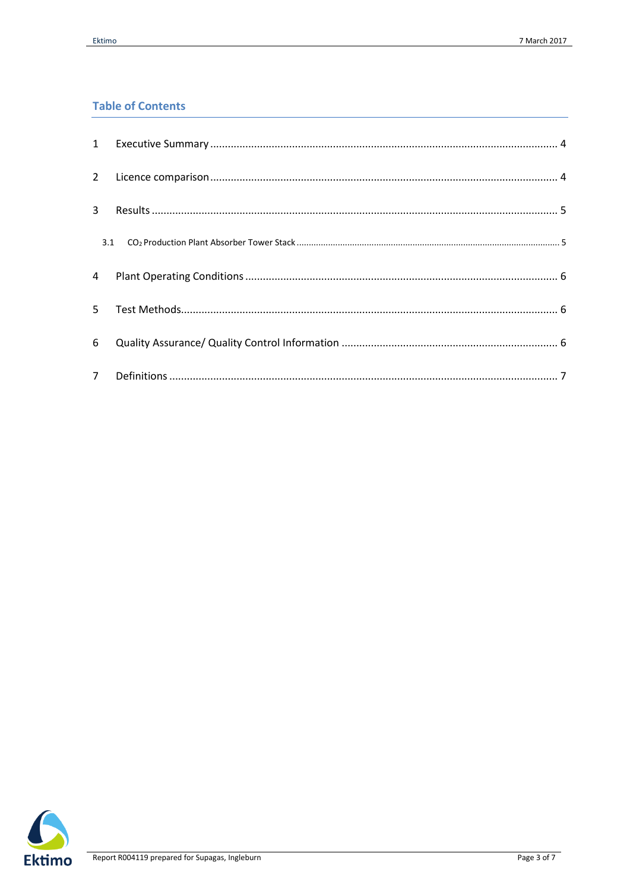# **Table of Contents**

| $\overline{2}$ |  |
|----------------|--|
| $\mathbf{3}$   |  |
| 3.1            |  |
| $\overline{4}$ |  |
| 5.             |  |
| 6              |  |
| 7 <sup>7</sup> |  |

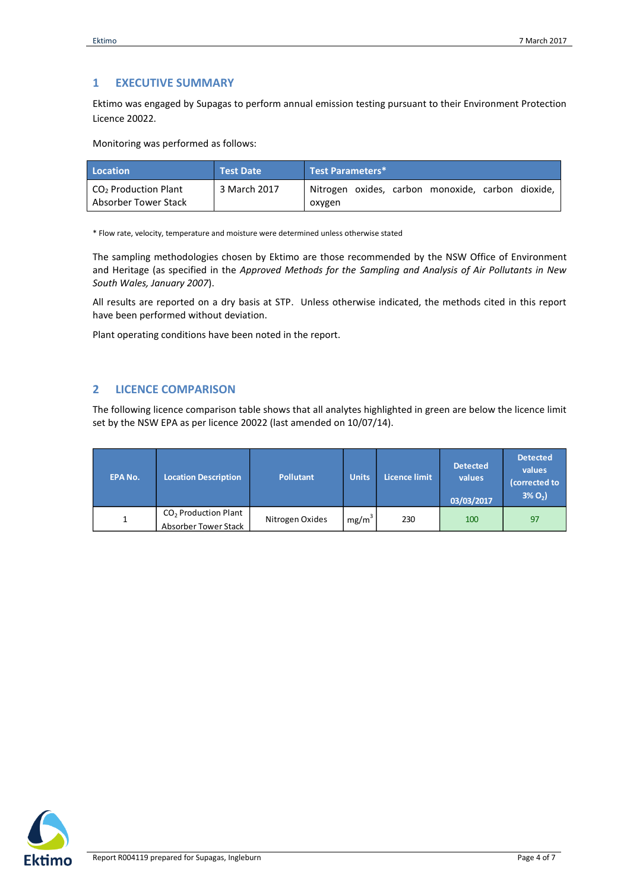# <span id="page-3-0"></span>**1 EXECUTIVE SUMMARY**

Ektimo was engaged by Supagas to perform annual emission testing pursuant to their Environment Protection Licence 20022.

Monitoring was performed as follows:

| Location                                                 | <b>Test Date</b> | Test Parameters*                                            |
|----------------------------------------------------------|------------------|-------------------------------------------------------------|
| CO <sub>2</sub> Production Plant<br>Absorber Tower Stack | 3 March 2017     | Nitrogen oxides, carbon monoxide, carbon dioxide,<br>oxygen |

\* Flow rate, velocity, temperature and moisture were determined unless otherwise stated

The sampling methodologies chosen by Ektimo are those recommended by the NSW Office of Environment and Heritage (as specified in the *Approved Methods for the Sampling and Analysis of Air Pollutants in New South Wales, January 2007*).

All results are reported on a dry basis at STP. Unless otherwise indicated, the methods cited in this report have been performed without deviation.

Plant operating conditions have been noted in the report.

### <span id="page-3-1"></span>**2 LICENCE COMPARISON**

The following licence comparison table shows that all analytes highlighted in green are below the licence limit set by the NSW EPA as per licence 20022 (last amended on 10/07/14).

| <b>EPA No.</b> | <b>Location Description</b>                    | <b>Pollutant</b> | <b>Units</b>      | Licence limit | <b>Detected</b><br>values<br>03/03/2017 | <b>Detected</b><br>values<br>(corrected to<br>$3\% O_{2}$ |
|----------------|------------------------------------------------|------------------|-------------------|---------------|-----------------------------------------|-----------------------------------------------------------|
|                | $CO2$ Production Plant<br>Absorber Tower Stack | Nitrogen Oxides  | mg/m <sup>3</sup> | 230           | 100                                     | 97                                                        |

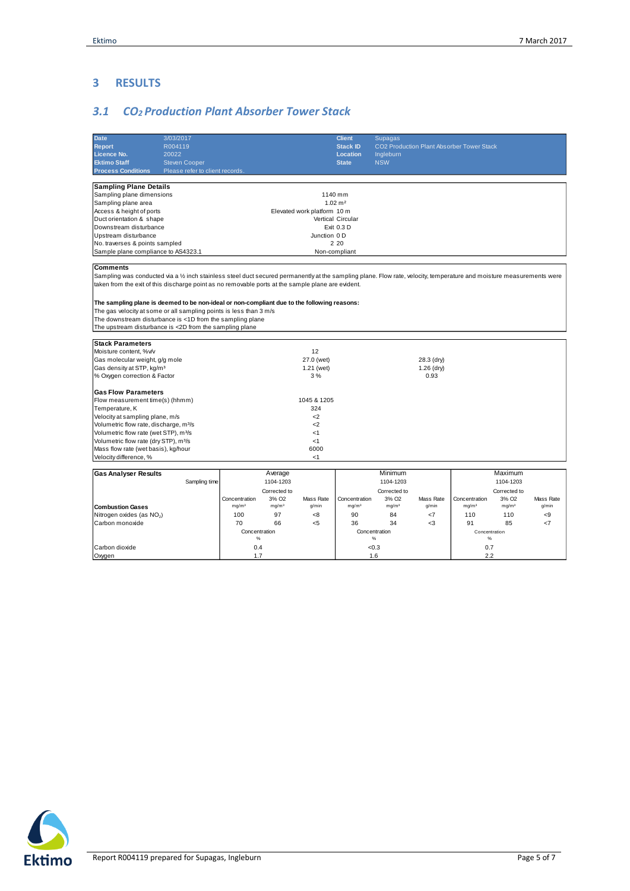# <span id="page-4-0"></span>**3 RESULTS**

# <span id="page-4-1"></span>*3.1 CO2 Production Plant Absorber Tower Stack*

| <b>Date</b><br><b>Report</b><br><b>Licence No.</b><br><b>Ektimo Staff</b><br><b>Process Conditions</b>                                                                                                                                                                                                                                                                                                                                                                                                                                                                 | 3/03/2017<br>R004119<br>20022<br><b>Steven Cooper</b><br>Please refer to client records. |                                                                                            |                                                                                |                                                               | <b>Client</b><br><b>Stack ID</b><br>Location<br><b>State</b> | <b>Supagas</b><br>Ingleburn<br><b>NSW</b>                                      |                                    | CO2 Production Plant Absorber Tower Stack        |                                                                                |                    |
|------------------------------------------------------------------------------------------------------------------------------------------------------------------------------------------------------------------------------------------------------------------------------------------------------------------------------------------------------------------------------------------------------------------------------------------------------------------------------------------------------------------------------------------------------------------------|------------------------------------------------------------------------------------------|--------------------------------------------------------------------------------------------|--------------------------------------------------------------------------------|---------------------------------------------------------------|--------------------------------------------------------------|--------------------------------------------------------------------------------|------------------------------------|--------------------------------------------------|--------------------------------------------------------------------------------|--------------------|
| <b>Sampling Plane Details</b><br>Sampling plane dimensions<br>Sampling plane area<br>Access & height of ports<br>Duct orientation & shape<br>Downstream disturbance<br>Upstream disturbance<br>No. traverses & points sampled<br>Sample plane compliance to AS4323.1<br><b>Comments</b><br>Sampling was conducted via a 1/2 inch stainless steel duct secured permanently at the sampling plane. Flow rate, velocity, temperature and moisture measurements were<br>taken from the exit of this discharge point as no removable ports at the sample plane are evident. | Elevated work platform 10 m<br>Junction 0 D                                              | 1140 mm<br>$1.02 \text{ m}^2$<br>Vertical Circular<br>Exit 0.3 D<br>2 2 0<br>Non-compliant |                                                                                |                                                               |                                                              |                                                                                |                                    |                                                  |                                                                                |                    |
| The sampling plane is deemed to be non-ideal or non-compliant due to the following reasons:<br>The gas velocity at some or all sampling points is less than 3 m/s<br>The downstream disturbance is <1D from the sampling plane<br>The upstream disturbance is <2D from the sampling plane                                                                                                                                                                                                                                                                              |                                                                                          |                                                                                            |                                                                                |                                                               |                                                              |                                                                                |                                    |                                                  |                                                                                |                    |
| <b>Stack Parameters</b><br>Moisture content, %v/v<br>Gas molecular weight, g/g mole<br>Gas density at STP, kg/m <sup>3</sup><br>% Oxygen correction & Factor                                                                                                                                                                                                                                                                                                                                                                                                           |                                                                                          |                                                                                            |                                                                                | 12<br>27.0 (wet)<br>1.21 (wet)<br>3%                          |                                                              |                                                                                | 28.3 (dry)<br>$1.26$ (dry)<br>0.93 |                                                  |                                                                                |                    |
| <b>Gas Flow Parameters</b><br>Flow measurement time(s) (hhmm)<br>Temperature, K<br>Velocity at sampling plane, m/s<br>Volumetric flow rate, discharge, m <sup>3</sup> /s<br>Volumetric flow rate (wet STP), m <sup>3</sup> /s<br>Volumetric flow rate (dry STP), m <sup>3</sup> /s<br>Mass flow rate (wet basis), kg/hour<br>Velocity difference, %                                                                                                                                                                                                                    |                                                                                          |                                                                                            |                                                                                | 1045 & 1205<br>324<br>$2$<br>$2$<br><1<br><1<br>6000<br>$<$ 1 |                                                              |                                                                                |                                    |                                                  |                                                                                |                    |
| <b>Gas Analyser Results</b><br><b>Combustion Gases</b>                                                                                                                                                                                                                                                                                                                                                                                                                                                                                                                 | Sampling time                                                                            | Concentration<br>mg/m <sup>3</sup>                                                         | Average<br>1104-1203<br>Corrected to<br>3% O <sub>2</sub><br>mg/m <sup>3</sup> | Mass Rate<br>q/min                                            | Concentration<br>mg/m <sup>3</sup>                           | Minimum<br>1104-1203<br>Corrected to<br>3% O <sub>2</sub><br>mg/m <sup>3</sup> | Mass Rate<br>q/min                 | Concentration<br>mg/m <sup>3</sup>               | Maximum<br>1104-1203<br>Corrected to<br>3% O <sub>2</sub><br>mg/m <sup>3</sup> | Mass Rate<br>q/min |
| Nitrogen oxides (as NO <sub>2</sub> )<br>Carbon monoxide<br>Carbon dioxide<br>Oxygen                                                                                                                                                                                                                                                                                                                                                                                                                                                                                   |                                                                                          | 100<br>70<br>Concentration<br>%<br>0.4<br>1.7                                              | 97<br>66                                                                       | <8<br>$5$                                                     | 90<br>36                                                     | 84<br>34<br>Concentration<br>$\%$<br><0.3<br>1.6                               | $<$ 7<br><3                        | 110<br>91<br>Concentration<br>$\%$<br>0.7<br>2.2 | 110<br>85                                                                      | -9<br>$\epsilon$ 7 |

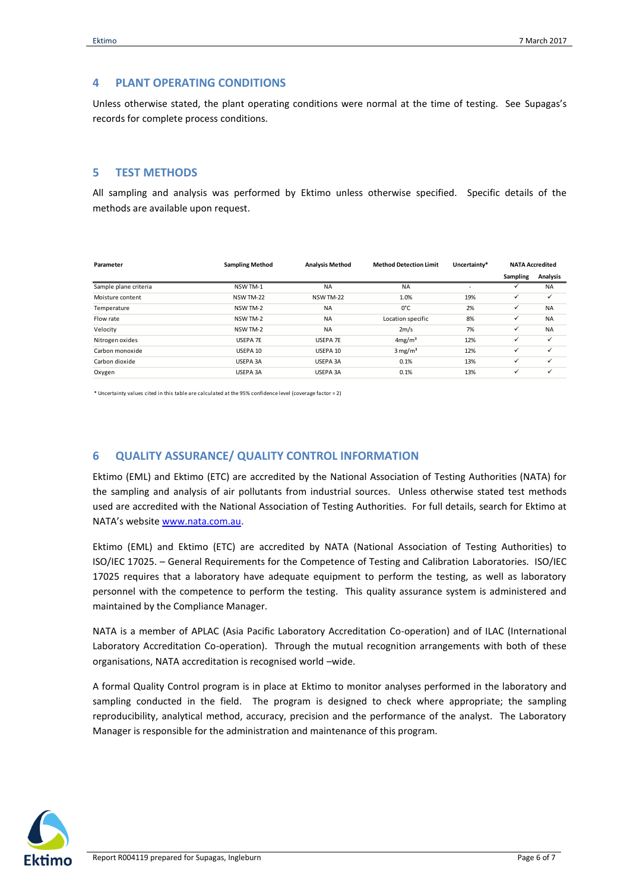#### <span id="page-5-0"></span>**4 PLANT OPERATING CONDITIONS**

Unless otherwise stated, the plant operating conditions were normal at the time of testing. See Supagas's records for complete process conditions.

#### <span id="page-5-1"></span>**5 TEST METHODS**

All sampling and analysis was performed by Ektimo unless otherwise specified. Specific details of the methods are available upon request.

| Parameter             | <b>Sampling Method</b> | <b>Analysis Method</b> | <b>Method Detection Limit</b> | Uncertainty* |              | <b>NATA Accredited</b> |
|-----------------------|------------------------|------------------------|-------------------------------|--------------|--------------|------------------------|
|                       |                        |                        |                               |              | Sampling     | <b>Analysis</b>        |
| Sample plane criteria | NSW TM-1               | <b>NA</b>              | <b>NA</b>                     | ٠            |              | <b>NA</b>              |
| Moisture content      | NSW TM-22              | NSW TM-22              | 1.0%                          | 19%          | ✓            | ✓                      |
| Temperature           | NSW TM-2               | <b>NA</b>              | 0°C                           | 2%           | ✓            | <b>NA</b>              |
| Flow rate             | NSW TM-2               | <b>NA</b>              | Location specific             | 8%           | ✓            | <b>NA</b>              |
| Velocity              | NSW TM-2               | <b>NA</b>              | 2m/s                          | 7%           | ✓            | <b>NA</b>              |
| Nitrogen oxides       | USEPA 7E               | USEPA 7E               | 4mg/m <sup>3</sup>            | 12%          | ✓            | ✓                      |
| Carbon monoxide       | USEPA 10               | USEPA 10               | $3 \text{ mg/m}^3$            | 12%          | ✓            | ✓                      |
| Carbon dioxide        | USEPA 3A               | USEPA 3A               | 0.1%                          | 13%          | $\checkmark$ | ✓                      |
| Oxygen                | USEPA 3A               | USEPA 3A               | 0.1%                          | 13%          | $\checkmark$ | $\checkmark$           |
|                       |                        |                        |                               |              |              |                        |

\* Uncertainty values cited in this table are calculated at the 95% confidence level (coverage factor = 2)

# <span id="page-5-2"></span>**6 QUALITY ASSURANCE/ QUALITY CONTROL INFORMATION**

Ektimo (EML) and Ektimo (ETC) are accredited by the National Association of Testing Authorities (NATA) for the sampling and analysis of air pollutants from industrial sources. Unless otherwise stated test methods used are accredited with the National Association of Testing Authorities. For full details, search for Ektimo at NATA's website [www.nata.com.au.](http://www.nata.com.au/)

Ektimo (EML) and Ektimo (ETC) are accredited by NATA (National Association of Testing Authorities) to ISO/IEC 17025. – General Requirements for the Competence of Testing and Calibration Laboratories. ISO/IEC 17025 requires that a laboratory have adequate equipment to perform the testing, as well as laboratory personnel with the competence to perform the testing. This quality assurance system is administered and maintained by the Compliance Manager.

NATA is a member of APLAC (Asia Pacific Laboratory Accreditation Co-operation) and of ILAC (International Laboratory Accreditation Co-operation). Through the mutual recognition arrangements with both of these organisations, NATA accreditation is recognised world –wide.

A formal Quality Control program is in place at Ektimo to monitor analyses performed in the laboratory and sampling conducted in the field. The program is designed to check where appropriate; the sampling reproducibility, analytical method, accuracy, precision and the performance of the analyst. The Laboratory Manager is responsible for the administration and maintenance of this program.